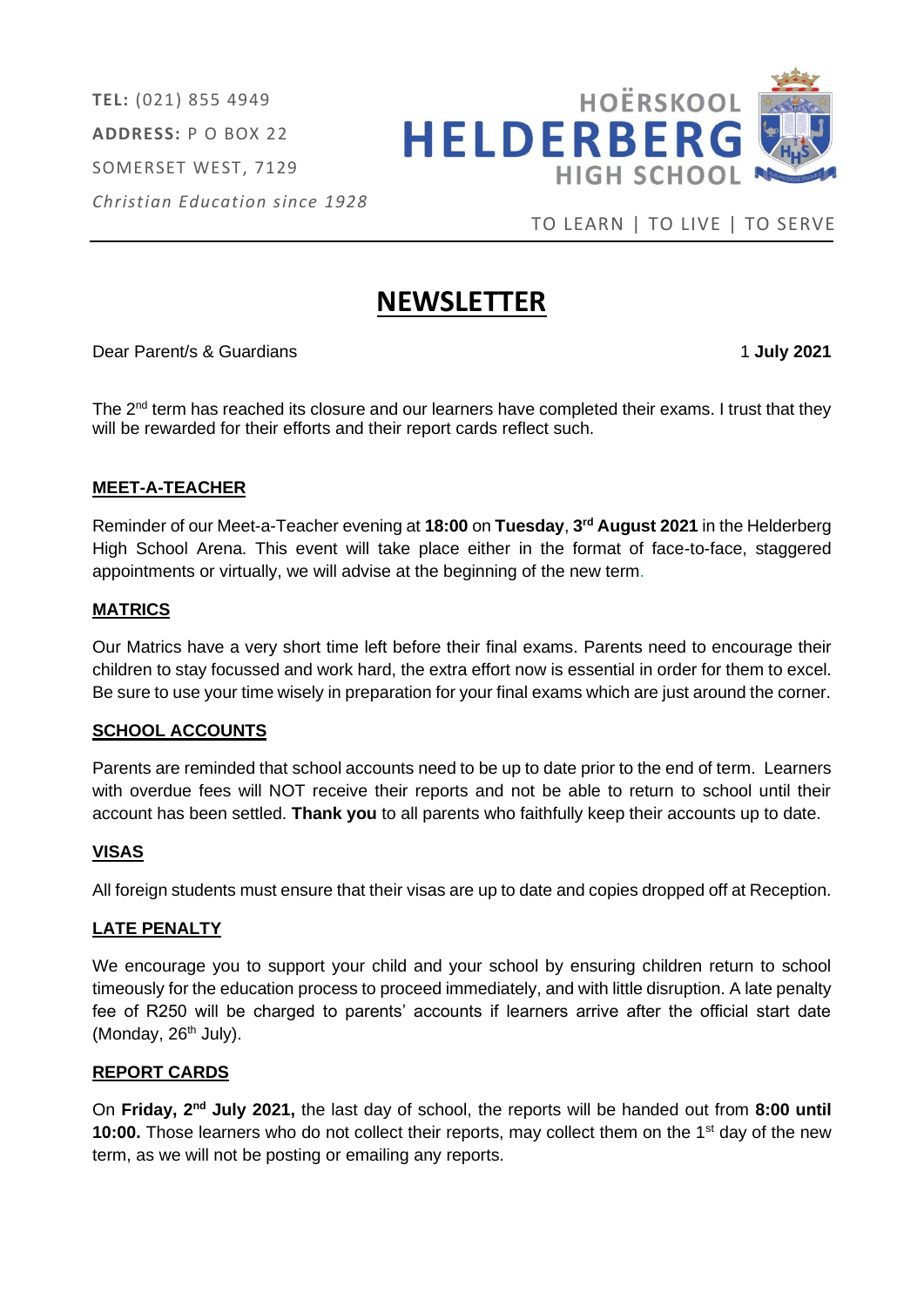**TEL:** (021) 855 4949 **ADDRESS:** P O BOX 22 SOMERSET WEST, 7129 *Christian Education since 1928*



TO LEARN | TO LIVE | TO SERVE

# **NEWSLETTER**

Dear Parent/s & Guardians 1 **July 2021**

The  $2<sup>nd</sup>$  term has reached its closure and our learners have completed their exams. I trust that they will be rewarded for their efforts and their report cards reflect such.

## **MEET-A-TEACHER**

Reminder of our Meet-a-Teacher evening at **18:00** on **Tuesday**, **3 rd August 2021** in the Helderberg High School Arena. This event will take place either in the format of face-to-face, staggered appointments or virtually, we will advise at the beginning of the new term.

## **MATRICS**

Our Matrics have a very short time left before their final exams. Parents need to encourage their children to stay focussed and work hard, the extra effort now is essential in order for them to excel. Be sure to use your time wisely in preparation for your final exams which are just around the corner.

## **SCHOOL ACCOUNTS**

Parents are reminded that school accounts need to be up to date prior to the end of term. Learners with overdue fees will NOT receive their reports and not be able to return to school until their account has been settled. **Thank you** to all parents who faithfully keep their accounts up to date.

## **VISAS**

All foreign students must ensure that their visas are up to date and copies dropped off at Reception.

#### **LATE PENALTY**

We encourage you to support your child and your school by ensuring children return to school timeously for the education process to proceed immediately, and with little disruption. A late penalty fee of R250 will be charged to parents' accounts if learners arrive after the official start date (Monday,  $26<sup>th</sup>$  July).

## **REPORT CARDS**

On Friday, 2<sup>nd</sup> July 2021, the last day of school, the reports will be handed out from 8:00 until **10:00.** Those learners who do not collect their reports, may collect them on the 1<sup>st</sup> day of the new term, as we will not be posting or emailing any reports.